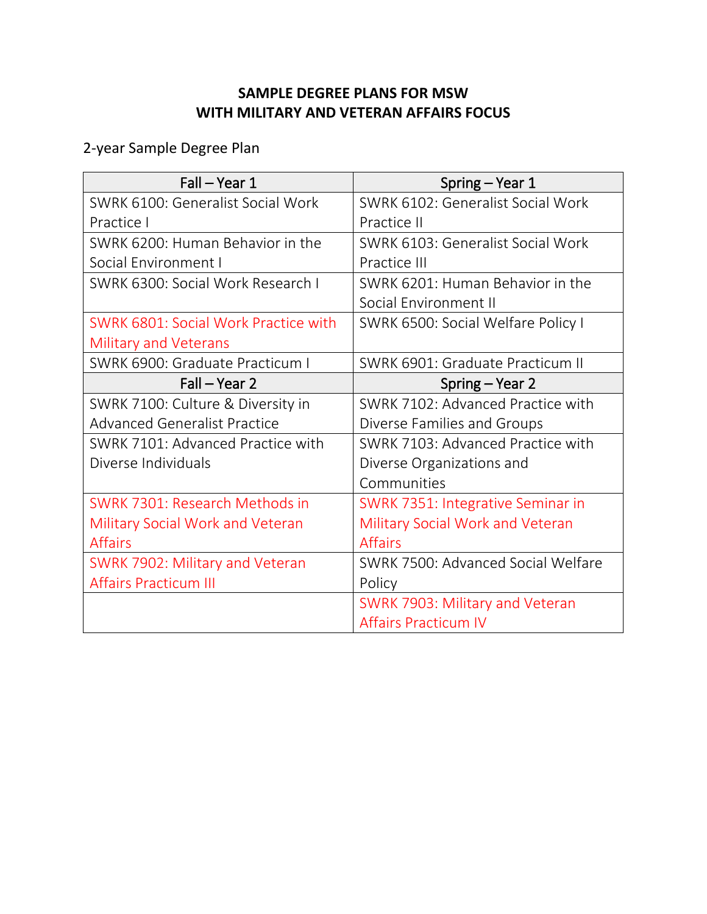## **SAMPLE DEGREE PLANS FOR MSW WITH MILITARY AND VETERAN AFFAIRS FOCUS**

2-year Sample Degree Plan

| Fall - Year 1                           | Spring – Year 1                         |
|-----------------------------------------|-----------------------------------------|
| SWRK 6100: Generalist Social Work       | SWRK 6102: Generalist Social Work       |
| Practice I                              | Practice II                             |
| SWRK 6200: Human Behavior in the        | SWRK 6103: Generalist Social Work       |
| Social Environment I                    | Practice III                            |
| SWRK 6300: Social Work Research I       | SWRK 6201: Human Behavior in the        |
|                                         | Social Environment II                   |
| SWRK 6801: Social Work Practice with    | SWRK 6500: Social Welfare Policy I      |
| <b>Military and Veterans</b>            |                                         |
| SWRK 6900: Graduate Practicum I         | SWRK 6901: Graduate Practicum II        |
| Fall – Year 2                           | Spring – Year 2                         |
| SWRK 7100: Culture & Diversity in       | SWRK 7102: Advanced Practice with       |
| <b>Advanced Generalist Practice</b>     | Diverse Families and Groups             |
| SWRK 7101: Advanced Practice with       | SWRK 7103: Advanced Practice with       |
| Diverse Individuals                     | Diverse Organizations and               |
|                                         | Communities                             |
| SWRK 7301: Research Methods in          | SWRK 7351: Integrative Seminar in       |
| <b>Military Social Work and Veteran</b> | <b>Military Social Work and Veteran</b> |
| <b>Affairs</b>                          | <b>Affairs</b>                          |
| SWRK 7902: Military and Veteran         | SWRK 7500: Advanced Social Welfare      |
| <b>Affairs Practicum III</b>            | Policy                                  |
|                                         | SWRK 7903: Military and Veteran         |
|                                         | <b>Affairs Practicum IV</b>             |